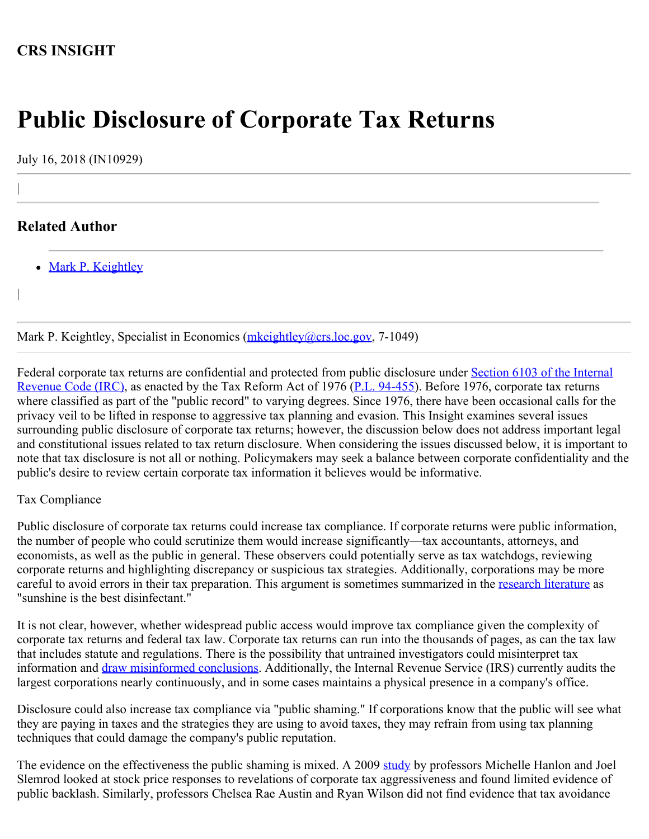# **CRS INSIGHT**

# **Public Disclosure of Corporate Tax Returns**

July 16, 2018 (IN10929)

# **Related Author**

|

|

• [Mark P. Keightley](http://www.crs.gov/Author/index?id=101096)

Mark P. Keightley, Specialist in Economics [\(mkeightley@crs.loc.gov](mailto:mkeightley@crs.loc.gov), 7-1049)

Federal corporate tax returns are confidential and protected from public disclosure under [Section 6103 of the Internal](https://www.law.cornell.edu/uscode/text/26/6103) [Revenue Code \(IRC\)](https://www.law.cornell.edu/uscode/text/26/6103), as enacted by the Tax Reform Act of 1976 [\(P.L. 94-455](http://www.congress.gov/cgi-lis/bdquery/R?d094:FLD002:@1(94+455))). Before 1976, corporate tax returns where classified as part of the "public record" to varying degrees. Since 1976, there have been occasional calls for the privacy veil to be lifted in response to aggressive tax planning and evasion. This Insight examines several issues surrounding public disclosure of corporate tax returns; however, the discussion below does not address important legal and constitutional issues related to tax return disclosure. When considering the issues discussed below, it is important to note that tax disclosure is not all or nothing. Policymakers may seek a balance between corporate confidentiality and the public's desire to review certain corporate tax information it believes would be informative.

#### Tax Compliance

Public disclosure of corporate tax returns could increase tax compliance. If corporate returns were public information, the number of people who could scrutinize them would increase significantly—tax accountants, attorneys, and economists, as well as the public in general. These observers could potentially serve as tax watchdogs, reviewing corporate returns and highlighting discrepancy or suspicious tax strategies. Additionally, corporations may be more careful to avoid errors in their tax preparation. This argument is sometimes summarized in the [research literature](https://papers.ssrn.com/sol3/papers.cfm?abstract_id=2389956) as "sunshine is the best disinfectant."

It is not clear, however, whether widespread public access would improve tax compliance given the complexity of corporate tax returns and federal tax law. Corporate tax returns can run into the thousands of pages, as can the tax law that includes statute and regulations. There is the possibility that untrained investigators could misinterpret tax information and *draw misinformed conclusions*. Additionally, the Internal Revenue Service (IRS) currently audits the largest corporations nearly continuously, and in some cases maintains a physical presence in a company's office.

Disclosure could also increase tax compliance via "public shaming." If corporations know that the public will see what they are paying in taxes and the strategies they are using to avoid taxes, they may refrain from using tax planning techniques that could damage the company's public reputation.

The evidence on the effectiveness the public shaming is mixed. A 2009 [study](https://www.sciencedirect.com/science/article/abs/pii/S0047272708001321) by professors Michelle Hanlon and Joel Slemrod looked at stock price responses to revelations of corporate tax aggressiveness and found limited evidence of public backlash. Similarly, professors Chelsea Rae Austin and Ryan Wilson did not find evidence that tax avoidance